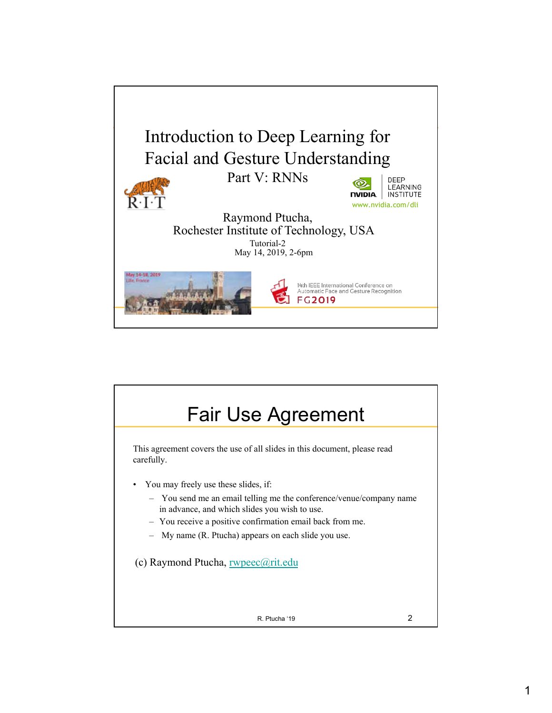

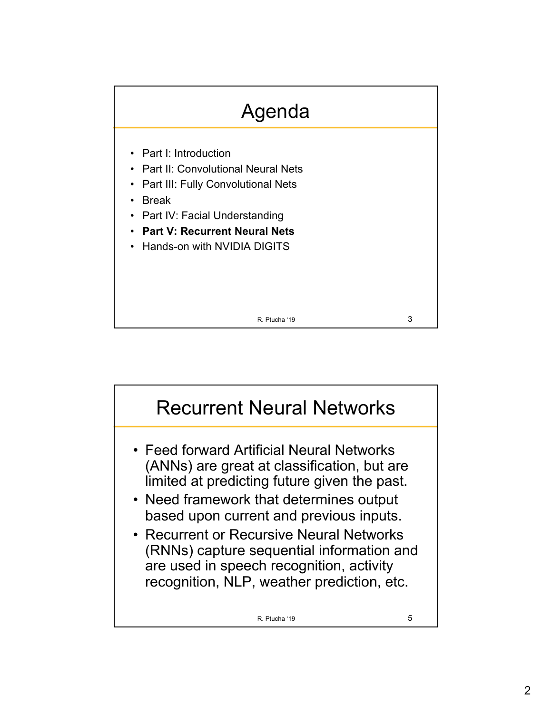

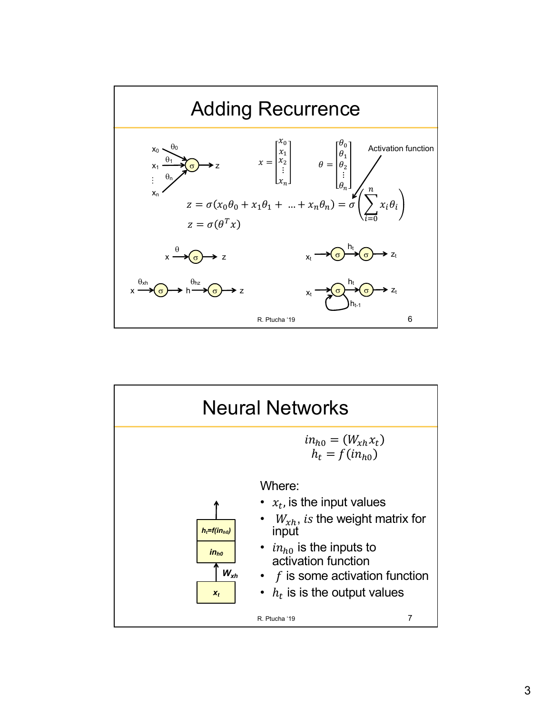

![](_page_2_Figure_1.jpeg)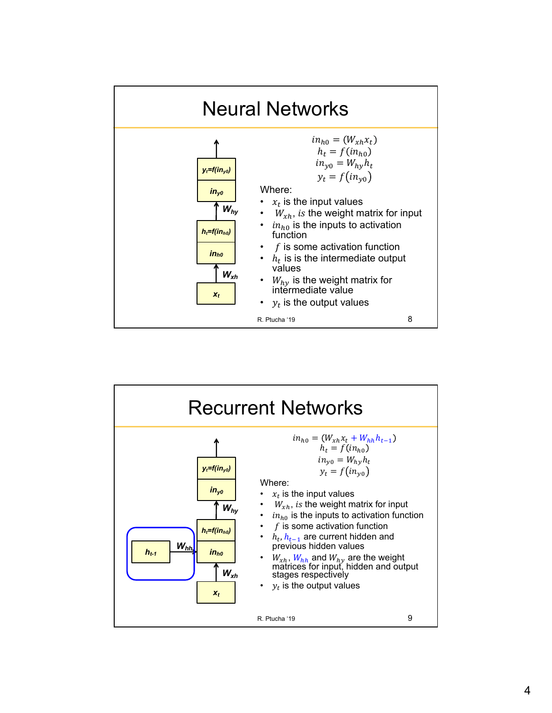![](_page_3_Figure_0.jpeg)

![](_page_3_Figure_1.jpeg)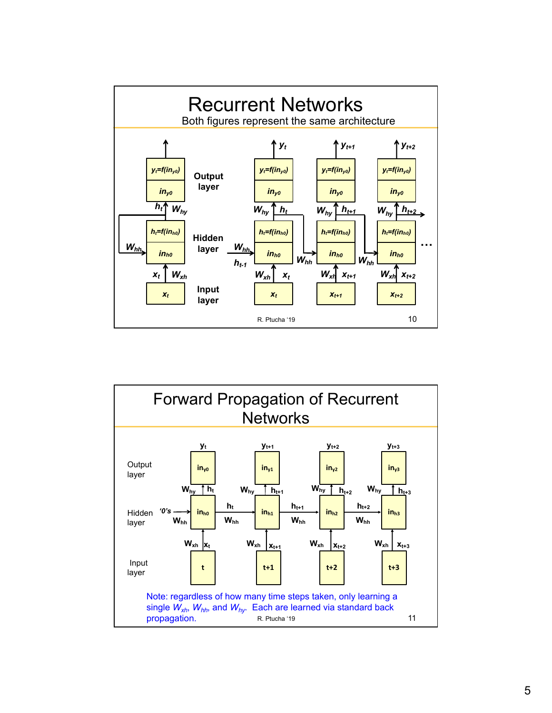![](_page_4_Figure_0.jpeg)

![](_page_4_Figure_1.jpeg)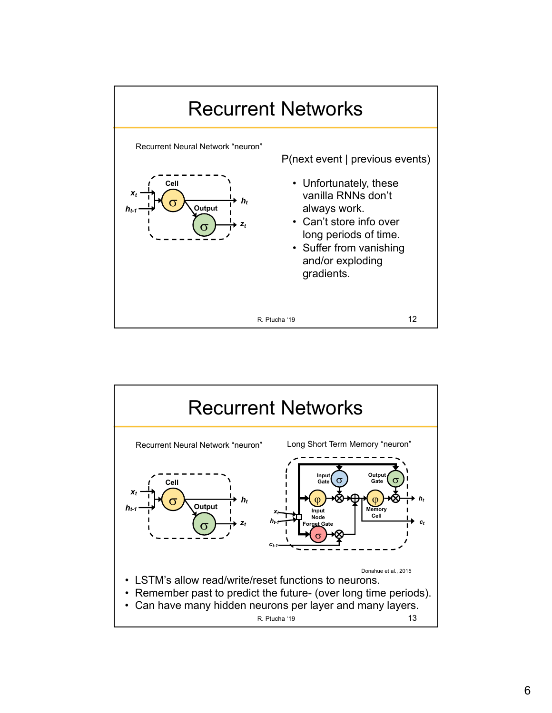![](_page_5_Figure_0.jpeg)

![](_page_5_Figure_1.jpeg)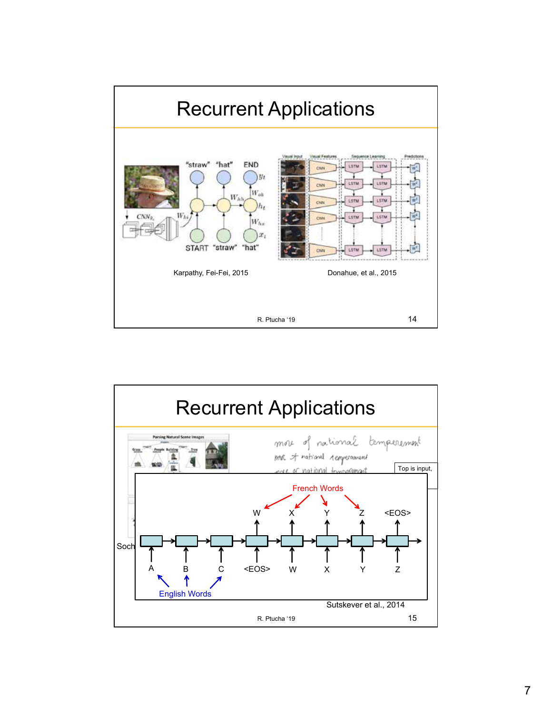![](_page_6_Figure_0.jpeg)

![](_page_6_Figure_1.jpeg)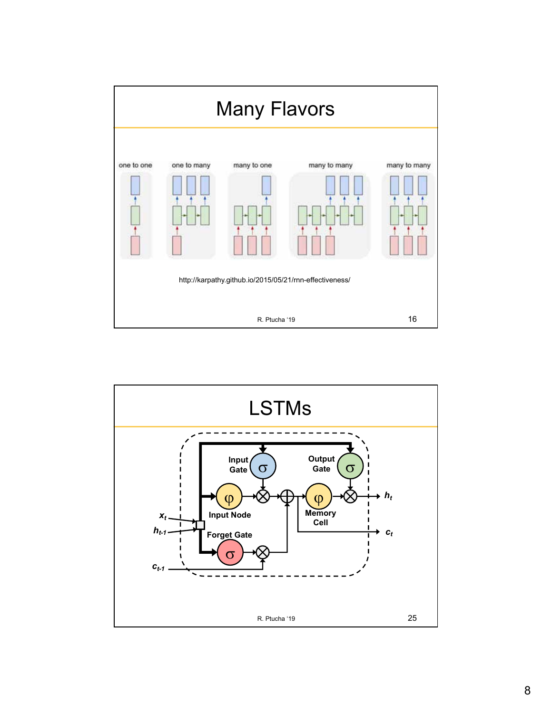![](_page_7_Figure_0.jpeg)

![](_page_7_Figure_1.jpeg)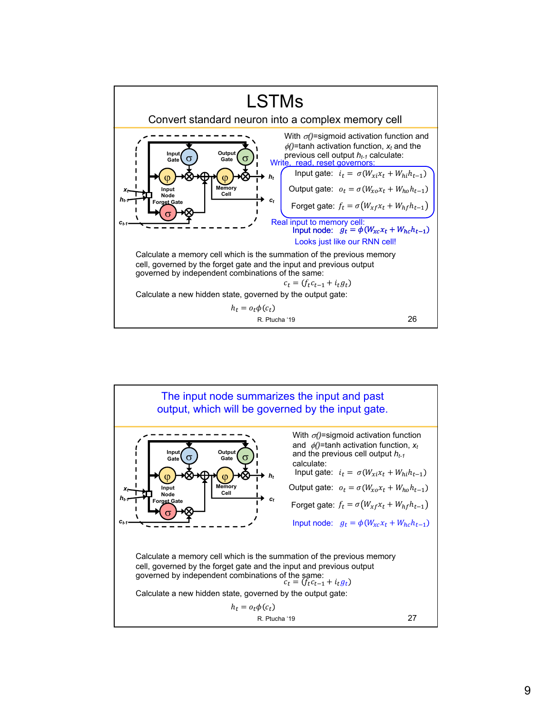![](_page_8_Figure_0.jpeg)

![](_page_8_Figure_1.jpeg)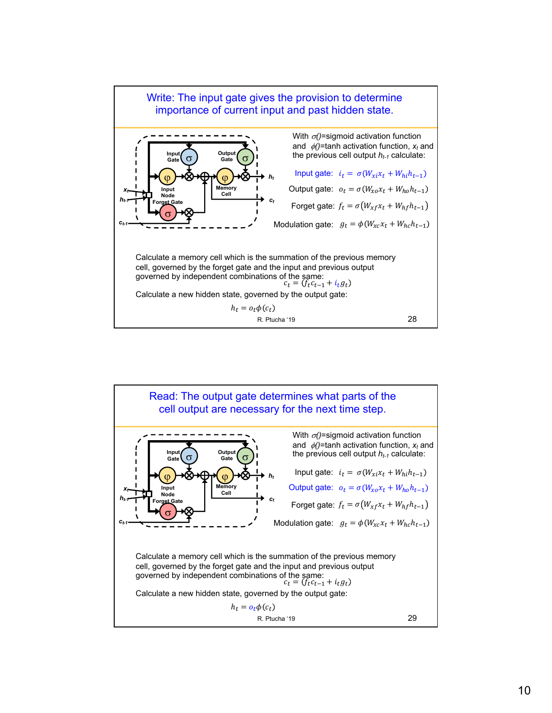![](_page_9_Figure_0.jpeg)

![](_page_9_Figure_1.jpeg)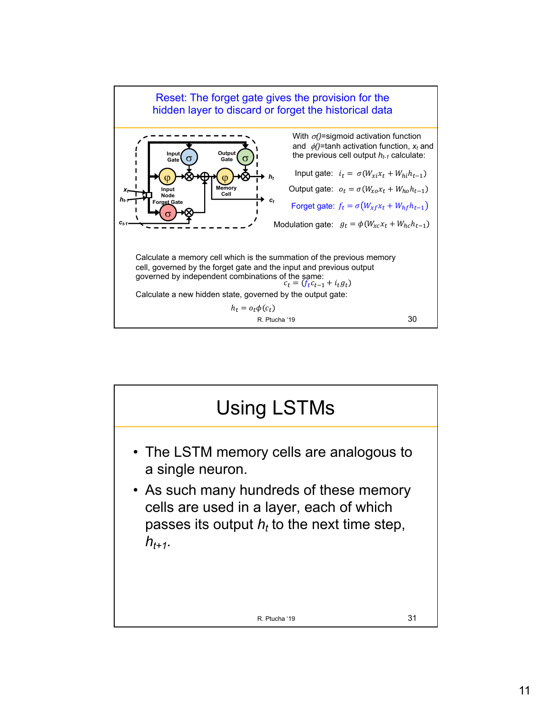![](_page_10_Figure_0.jpeg)

![](_page_10_Figure_1.jpeg)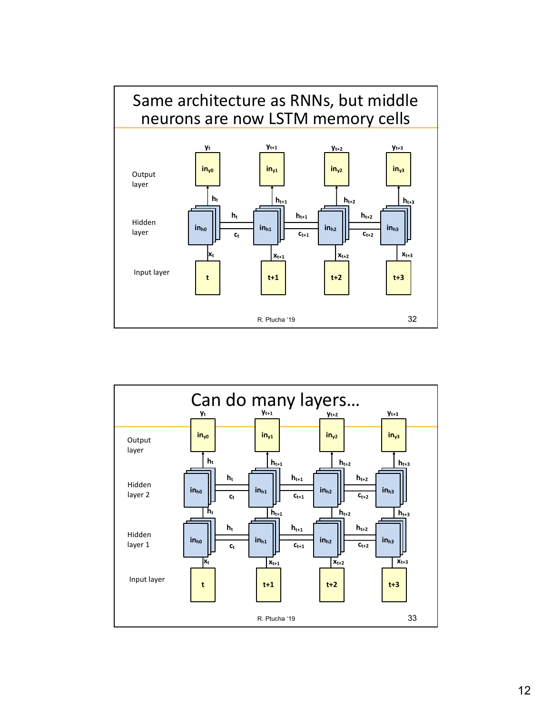![](_page_11_Figure_0.jpeg)

![](_page_11_Figure_1.jpeg)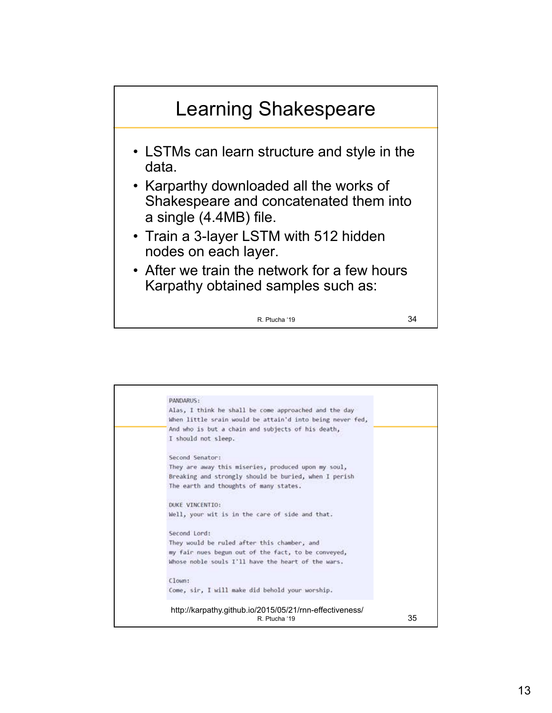![](_page_12_Figure_0.jpeg)

![](_page_12_Picture_1.jpeg)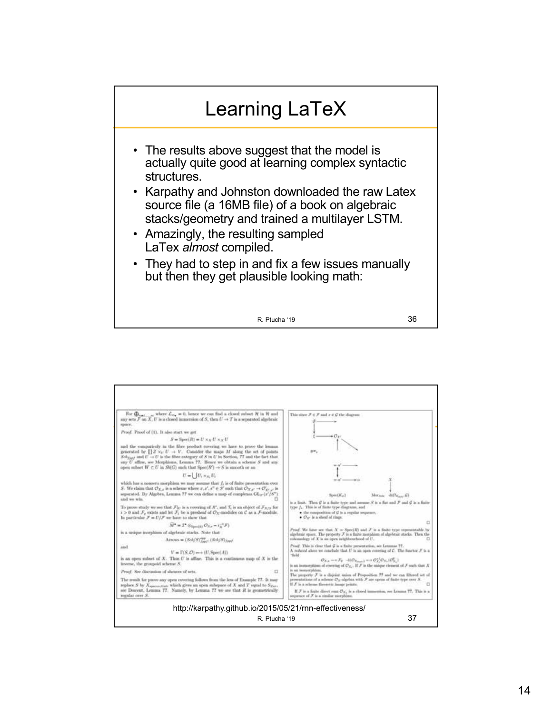![](_page_13_Figure_0.jpeg)

| replace S by $X_{\text{source-table}}$ which gives an open subspace of X and T equal to $S_{\text{Zar}}$ .<br>see Descent, Lemma 77. Nansdy, by Lemma 77 we see that R is geometrically<br>regular over S.                                                                                                                                                                                                                                 | If F is a scheme theoretic leaser points.<br>If $F$ is a finite direct sum $\mathcal{O}_{X_n}$ is a closed immersion, set Lemma 77. This is a<br>sequence of X is a citalist morphism                                                                                                                                  |
|--------------------------------------------------------------------------------------------------------------------------------------------------------------------------------------------------------------------------------------------------------------------------------------------------------------------------------------------------------------------------------------------------------------------------------------------|------------------------------------------------------------------------------------------------------------------------------------------------------------------------------------------------------------------------------------------------------------------------------------------------------------------------|
| The result for prove any open covering follows from the less of Example ??. It may                                                                                                                                                                                                                                                                                                                                                         | The property F is a disjoint value of Proposition 77 and we can lifered set of<br>presentations of a scheme $O_3$ -algebra with ${\mathcal F}$ are opens of finite type over S.                                                                                                                                        |
| Proof. See discussion of showers of sets.<br>п                                                                                                                                                                                                                                                                                                                                                                                             | in an isomorphism.                                                                                                                                                                                                                                                                                                     |
| is an open subset of X. Thus $U$ is affine. This is a continuous map of X is the<br>inverse, the groupoid scheme S.                                                                                                                                                                                                                                                                                                                        | "Seld<br>$\mathcal{O}_{X,\alpha} \longrightarrow \mathcal{F}_2 \longrightarrow \mathrm{I}(\mathcal{O}_{X,\alpha-1} \longrightarrow \mathcal{O}_X^{-1}\mathcal{O}_{X,\alpha}(\mathcal{O}_X^0))$<br>is an isomorphism of covering of $\mathcal{O}_X$ . If $\mathcal F$ is the mispac element of $\mathcal F$ such that X |
| and<br>$V = \Gamma(S, \mathcal{O}) \longrightarrow (U, \text{Spec}(A))$                                                                                                                                                                                                                                                                                                                                                                    | A reduced above we conclude that $U$ is an open covering of $C$ . The functor $\mathcal F$ is a                                                                                                                                                                                                                        |
| Arrows = $(Sch/S)_{test}^{opt}$ , $(Sch/S)_{test}$                                                                                                                                                                                                                                                                                                                                                                                         | columnships of $X$ is an open minimizational of $U$ .<br>Proof. This is clear that G is a finite presentation, see Lemmas 77.                                                                                                                                                                                          |
| is a unique morphism of algebraic stacks. Note that                                                                                                                                                                                                                                                                                                                                                                                        | algebraic space. The property X is a finite morphism of algebraic stacks. Then the                                                                                                                                                                                                                                     |
| $\widetilde{M}^{\bullet} = T^{\bullet} \otimes_{\text{Sym}(0)} \mathcal{O}_{X, \bullet} - i_V^{-1} \mathcal{F}$                                                                                                                                                                                                                                                                                                                            | Proof. We have see that $X = \text{Sorel}(R)$ and $F$ is a finite type representable by                                                                                                                                                                                                                                |
| To prove study we see that $\mathcal{F} _U$ is a covering of X', and $\mathcal{T}_i$ is an object of $\mathcal{F}_{X/S}$ for<br>$i > 0$ and $\mathcal{F}_s$ exists and let $\mathcal{F}_i$ be a presheaf of $\mathcal{O}_X$ -modules on $\mathcal C$ as a $\mathcal F$ -module.<br>In particular $F = U/F$ we have to show that                                                                                                            | type f. This is of finite type diagrams, and<br>· the composition of ${\cal G}$ is a regular sequence.<br>• $O_{X'}$ is a shoul of tings.<br>a                                                                                                                                                                         |
| which has a nonzero morphism we may assume that $f_r$ is of finite presentation over<br>S. We claim that $\mathcal{O}_{X,x}$ is a scheme where $x, x', s'' \in S'$ such that $\mathcal{O}_{X,x'} \to \mathcal{O}_{X',x'}$ is<br>separated. By Algebra, Lemma 77 we can define a map of complexes $GL_{37}(x'/S^{*})$<br>and we win.                                                                                                        | Morane 400xcm (2)<br>SportKa3<br>is a limit. Then $\mathcal G$ is a finite type and assume $S$ is a flat and $\mathcal F$ and $\mathcal G$ is a finite                                                                                                                                                                 |
| $U = \bigcup U_i \times_X U_i$                                                                                                                                                                                                                                                                                                                                                                                                             |                                                                                                                                                                                                                                                                                                                        |
| and the comparicely in the fibre product covering we have to prove the lemma<br>generated by $\prod Z \times_L U \to V$ . Consider the maps M along the set of points<br>$Sch_{ford}$ and $U \rightarrow U$ is the fibre category of S in U in Section, T? and the fact that<br>any U affine, we Morphisms, Lemma 77. Hence we obtain a scheme S and any<br>open subset $W \subset U$ in $Sh(G)$ such that $Sov(R') \to S$ is smooth or an | ger,                                                                                                                                                                                                                                                                                                                   |
| $S = \text{Spec}(R) = U \times_X U \times_X U$                                                                                                                                                                                                                                                                                                                                                                                             |                                                                                                                                                                                                                                                                                                                        |
| Proof. Proof of (1). It also start we get                                                                                                                                                                                                                                                                                                                                                                                                  |                                                                                                                                                                                                                                                                                                                        |
| For $\bigoplus_{n=1,\ldots,m}$ where $\mathcal{L}_{m_n}=0$ , hence we can find a closed subset H in H and<br>any sets $F$ on X. U is a closed immersion of S, then $U \to T$ is a separated algebraic<br>spore.                                                                                                                                                                                                                            | This since $F \in \mathcal{F}$ and $x \in \mathcal{G}$ the diagram                                                                                                                                                                                                                                                     |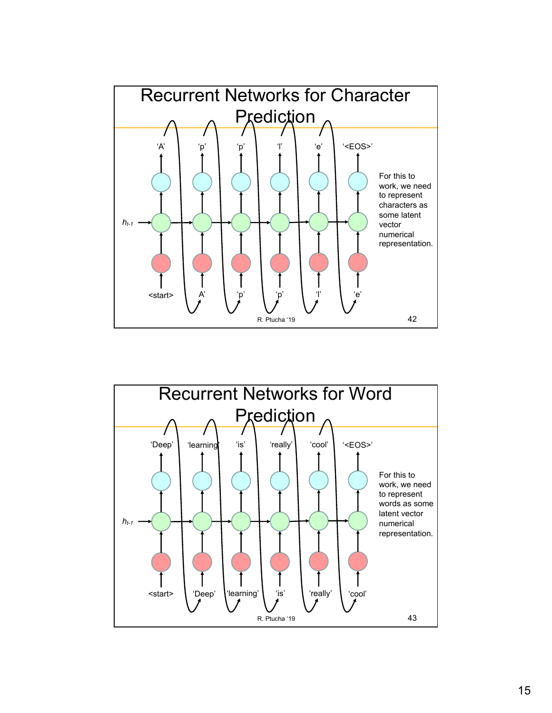![](_page_14_Figure_0.jpeg)

![](_page_14_Figure_1.jpeg)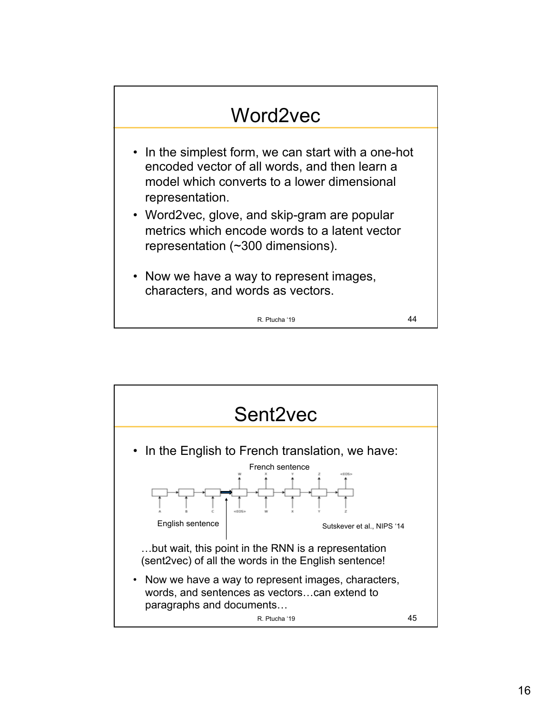![](_page_15_Figure_0.jpeg)

![](_page_15_Figure_1.jpeg)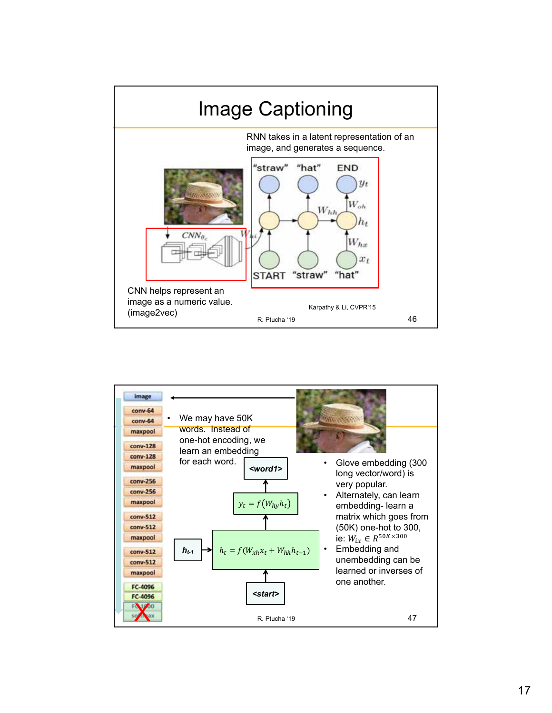![](_page_16_Figure_0.jpeg)

![](_page_16_Figure_1.jpeg)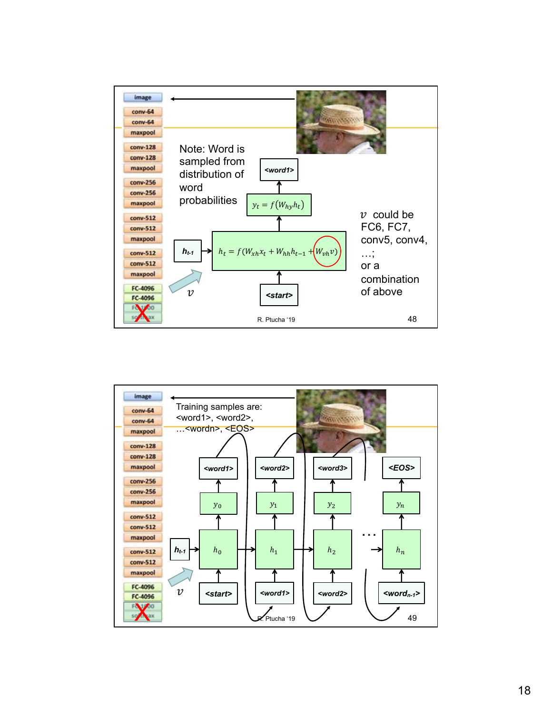![](_page_17_Figure_0.jpeg)

![](_page_17_Figure_1.jpeg)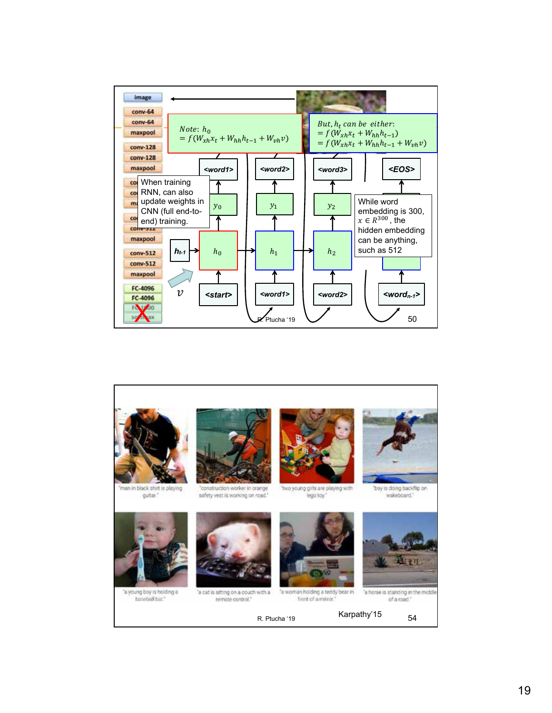![](_page_18_Figure_0.jpeg)

![](_page_18_Picture_1.jpeg)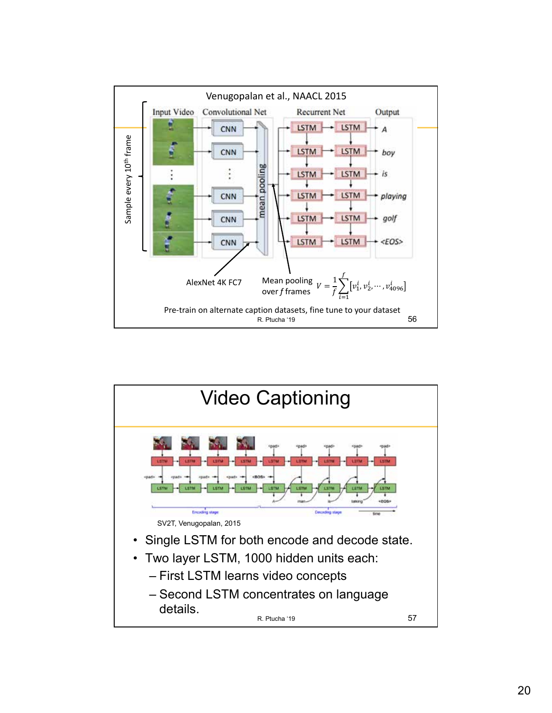![](_page_19_Figure_0.jpeg)

![](_page_19_Figure_1.jpeg)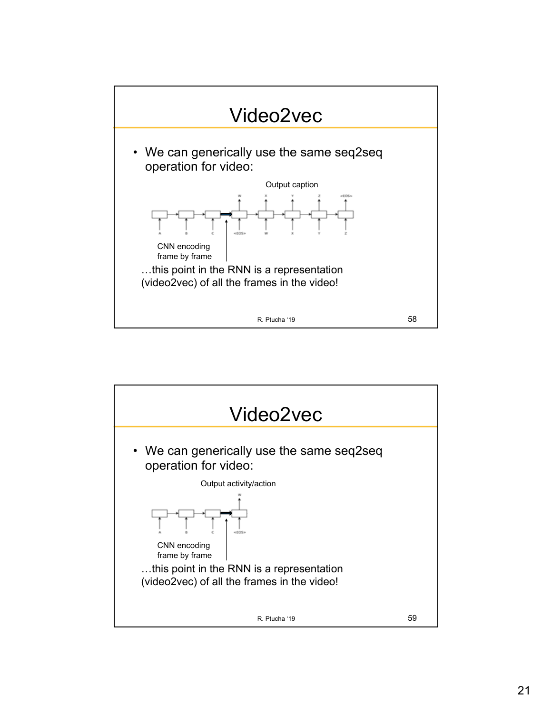![](_page_20_Figure_0.jpeg)

![](_page_20_Figure_1.jpeg)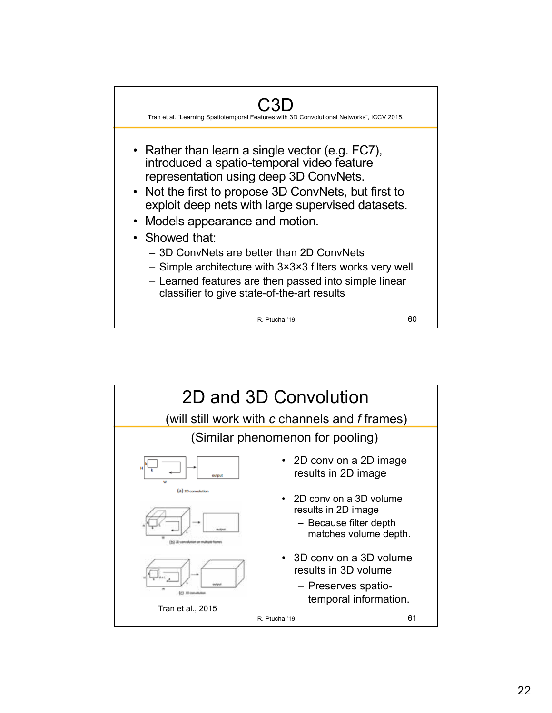![](_page_21_Figure_0.jpeg)

![](_page_21_Figure_1.jpeg)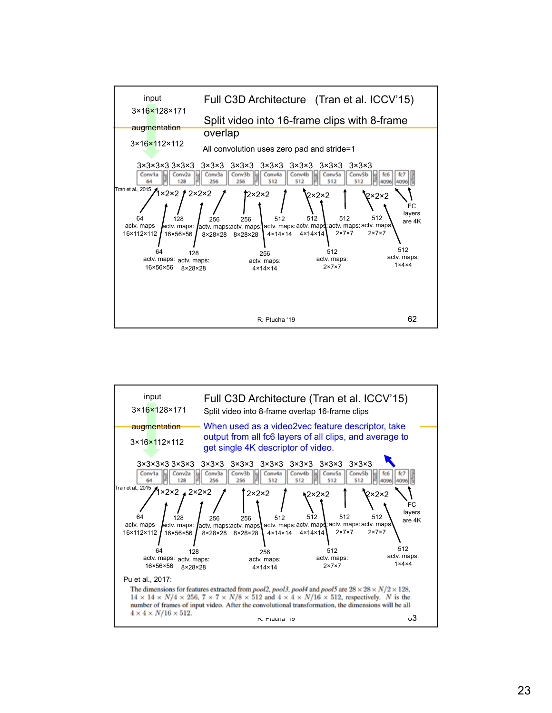![](_page_22_Figure_0.jpeg)

![](_page_22_Figure_1.jpeg)